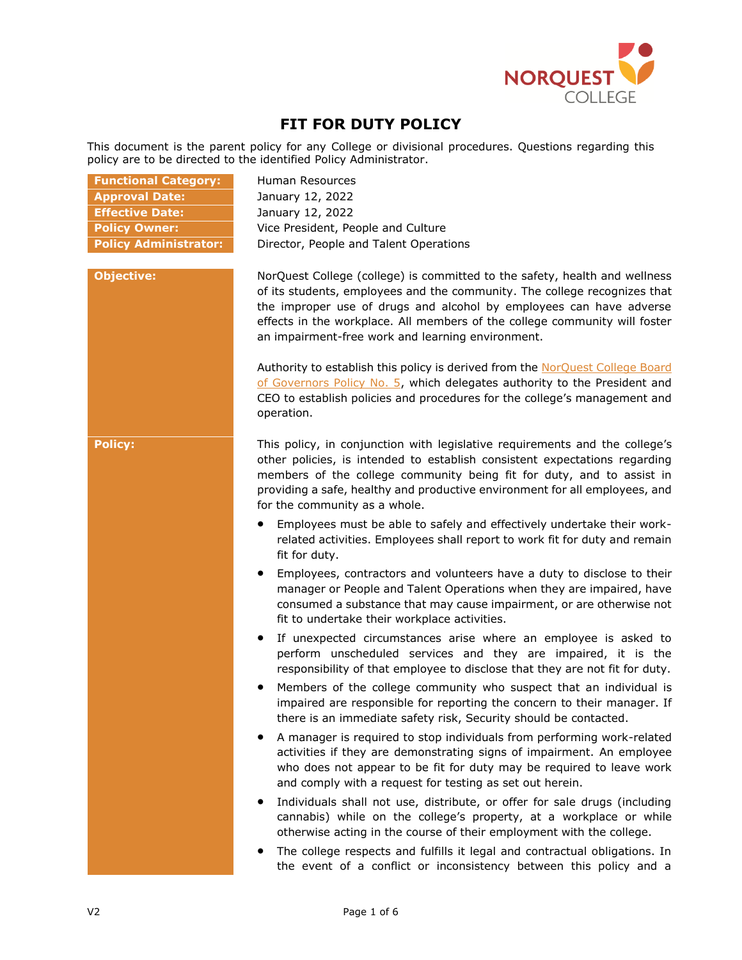

# **FIT FOR DUTY POLICY**

This document is the parent policy for any College or divisional procedures. Questions regarding this policy are to be directed to the identified Policy Administrator.

| <b>Functional Category:</b>  | Human Resources                                                                                                                                                                                                                                                                                                                                                   |
|------------------------------|-------------------------------------------------------------------------------------------------------------------------------------------------------------------------------------------------------------------------------------------------------------------------------------------------------------------------------------------------------------------|
| <b>Approval Date:</b>        | January 12, 2022                                                                                                                                                                                                                                                                                                                                                  |
| <b>Effective Date:</b>       | January 12, 2022                                                                                                                                                                                                                                                                                                                                                  |
| <b>Policy Owner:</b>         | Vice President, People and Culture                                                                                                                                                                                                                                                                                                                                |
| <b>Policy Administrator:</b> | Director, People and Talent Operations                                                                                                                                                                                                                                                                                                                            |
| <b>Objective:</b>            | NorQuest College (college) is committed to the safety, health and wellness<br>of its students, employees and the community. The college recognizes that<br>the improper use of drugs and alcohol by employees can have adverse<br>effects in the workplace. All members of the college community will foster<br>an impairment-free work and learning environment. |
|                              | Authority to establish this policy is derived from the NorQuest College Board<br>of Governors Policy No. 5, which delegates authority to the President and<br>CEO to establish policies and procedures for the college's management and<br>operation.                                                                                                             |
| <b>Policy:</b>               | This policy, in conjunction with legislative requirements and the college's<br>other policies, is intended to establish consistent expectations regarding<br>members of the college community being fit for duty, and to assist in<br>providing a safe, healthy and productive environment for all employees, and<br>for the community as a whole.                |
|                              | Employees must be able to safely and effectively undertake their work-<br>related activities. Employees shall report to work fit for duty and remain<br>fit for duty.                                                                                                                                                                                             |
|                              | Employees, contractors and volunteers have a duty to disclose to their<br>manager or People and Talent Operations when they are impaired, have<br>consumed a substance that may cause impairment, or are otherwise not<br>fit to undertake their workplace activities.                                                                                            |
|                              | If unexpected circumstances arise where an employee is asked to<br>perform unscheduled services and they are impaired, it is the<br>responsibility of that employee to disclose that they are not fit for duty.                                                                                                                                                   |
|                              | Members of the college community who suspect that an individual is<br>impaired are responsible for reporting the concern to their manager. If<br>there is an immediate safety risk, Security should be contacted.                                                                                                                                                 |
|                              | A manager is required to stop individuals from performing work-related<br>activities if they are demonstrating signs of impairment. An employee<br>who does not appear to be fit for duty may be required to leave work<br>and comply with a request for testing as set out herein.                                                                               |
|                              | Individuals shall not use, distribute, or offer for sale drugs (including<br>cannabis) while on the college's property, at a workplace or while<br>otherwise acting in the course of their employment with the college.                                                                                                                                           |
|                              | The college respects and fulfills it legal and contractual obligations. In                                                                                                                                                                                                                                                                                        |

the event of a conflict or inconsistency between this policy and a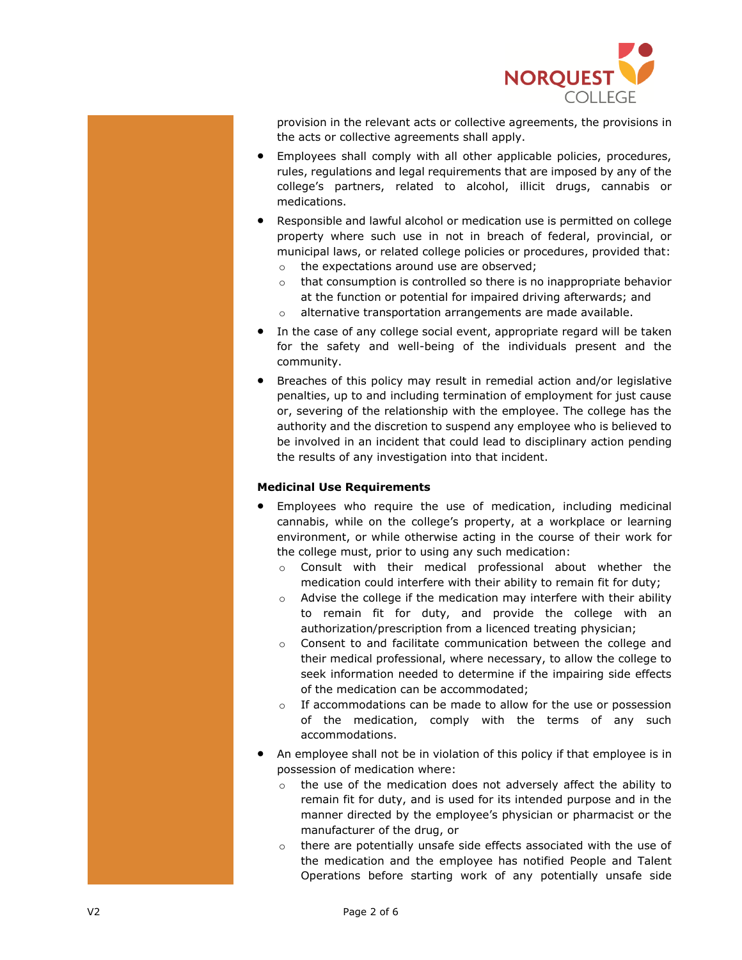

provision in the relevant acts or collective agreements, the provisions in the acts or collective agreements shall apply.

- Employees shall comply with all other applicable policies, procedures, rules, regulations and legal requirements that are imposed by any of the college's partners, related to alcohol, illicit drugs, cannabis or medications.
- Responsible and lawful alcohol or medication use is permitted on college property where such use in not in breach of federal, provincial, or municipal laws, or related college policies or procedures, provided that:
	- o the expectations around use are observed;
	- $\circ$  that consumption is controlled so there is no inappropriate behavior at the function or potential for impaired driving afterwards; and
	- o alternative transportation arrangements are made available.
- In the case of any college social event, appropriate regard will be taken for the safety and well-being of the individuals present and the community.
- Breaches of this policy may result in remedial action and/or legislative penalties, up to and including termination of employment for just cause or, severing of the relationship with the employee. The college has the authority and the discretion to suspend any employee who is believed to be involved in an incident that could lead to disciplinary action pending the results of any investigation into that incident.

## **Medicinal Use Requirements**

- Employees who require the use of medication, including medicinal cannabis, while on the college's property, at a workplace or learning environment, or while otherwise acting in the course of their work for the college must, prior to using any such medication:
	- o Consult with their medical professional about whether the medication could interfere with their ability to remain fit for duty;
	- $\circ$  Advise the college if the medication may interfere with their ability to remain fit for duty, and provide the college with an authorization/prescription from a licenced treating physician;
	- $\circ$  Consent to and facilitate communication between the college and their medical professional, where necessary, to allow the college to seek information needed to determine if the impairing side effects of the medication can be accommodated;
	- $\circ$  If accommodations can be made to allow for the use or possession of the medication, comply with the terms of any such accommodations.
- An employee shall not be in violation of this policy if that employee is in possession of medication where:
	- $\circ$  the use of the medication does not adversely affect the ability to remain fit for duty, and is used for its intended purpose and in the manner directed by the employee's physician or pharmacist or the manufacturer of the drug, or
	- $\circ$  there are potentially unsafe side effects associated with the use of the medication and the employee has notified People and Talent Operations before starting work of any potentially unsafe side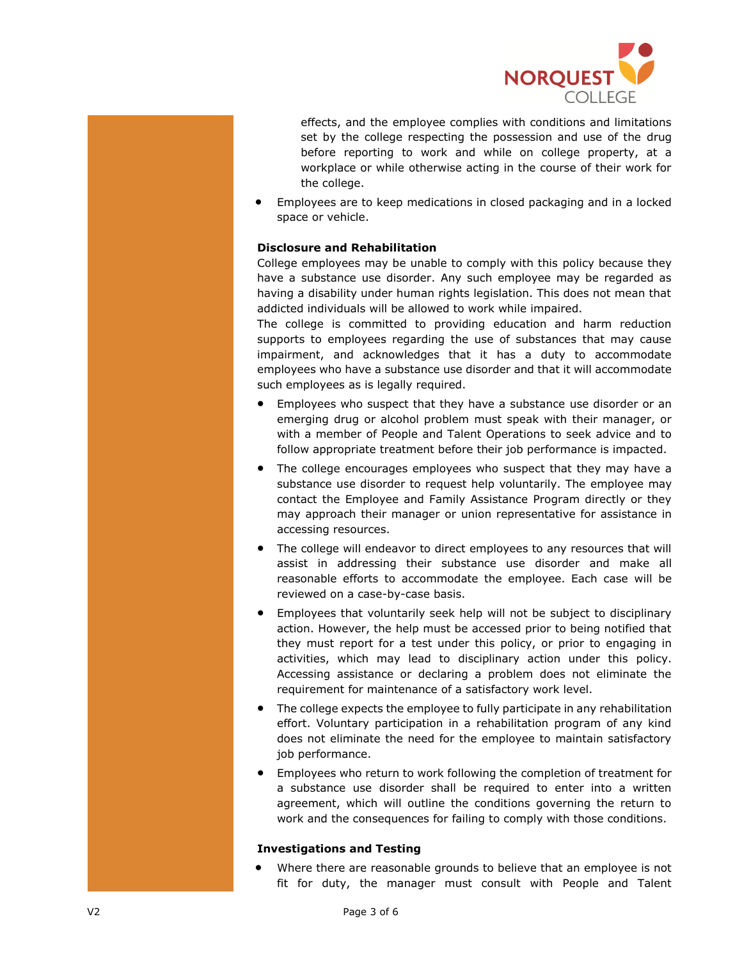

effects, and the employee complies with conditions and limitations set by the college respecting the possession and use of the drug before reporting to work and while on college property, at a workplace or while otherwise acting in the course of their work for the college.

• Employees are to keep medications in closed packaging and in a locked space or vehicle.

### **Disclosure and Rehabilitation**

College employees may be unable to comply with this policy because they have a substance use disorder. Any such employee may be regarded as having a disability under human rights legislation. This does not mean that addicted individuals will be allowed to work while impaired.

The college is committed to providing education and harm reduction supports to employees regarding the use of substances that may cause impairment, and acknowledges that it has a duty to accommodate employees who have a substance use disorder and that it will accommodate such employees as is legally required.

- Employees who suspect that they have a substance use disorder or an emerging drug or alcohol problem must speak with their manager, or with a member of People and Talent Operations to seek advice and to follow appropriate treatment before their job performance is impacted.
- The college encourages employees who suspect that they may have a substance use disorder to request help voluntarily. The employee may contact the Employee and Family Assistance Program directly or they may approach their manager or union representative for assistance in accessing resources.
- The college will endeavor to direct employees to any resources that will assist in addressing their substance use disorder and make all reasonable efforts to accommodate the employee. Each case will be reviewed on a case-by-case basis.
- Employees that voluntarily seek help will not be subject to disciplinary action. However, the help must be accessed prior to being notified that they must report for a test under this policy, or prior to engaging in activities, which may lead to disciplinary action under this policy. Accessing assistance or declaring a problem does not eliminate the requirement for maintenance of a satisfactory work level.
- The college expects the employee to fully participate in any rehabilitation effort. Voluntary participation in a rehabilitation program of any kind does not eliminate the need for the employee to maintain satisfactory job performance.
- Employees who return to work following the completion of treatment for a substance use disorder shall be required to enter into a written agreement, which will outline the conditions governing the return to work and the consequences for failing to comply with those conditions.

### **Investigations and Testing**

• Where there are reasonable grounds to believe that an employee is not fit for duty, the manager must consult with People and Talent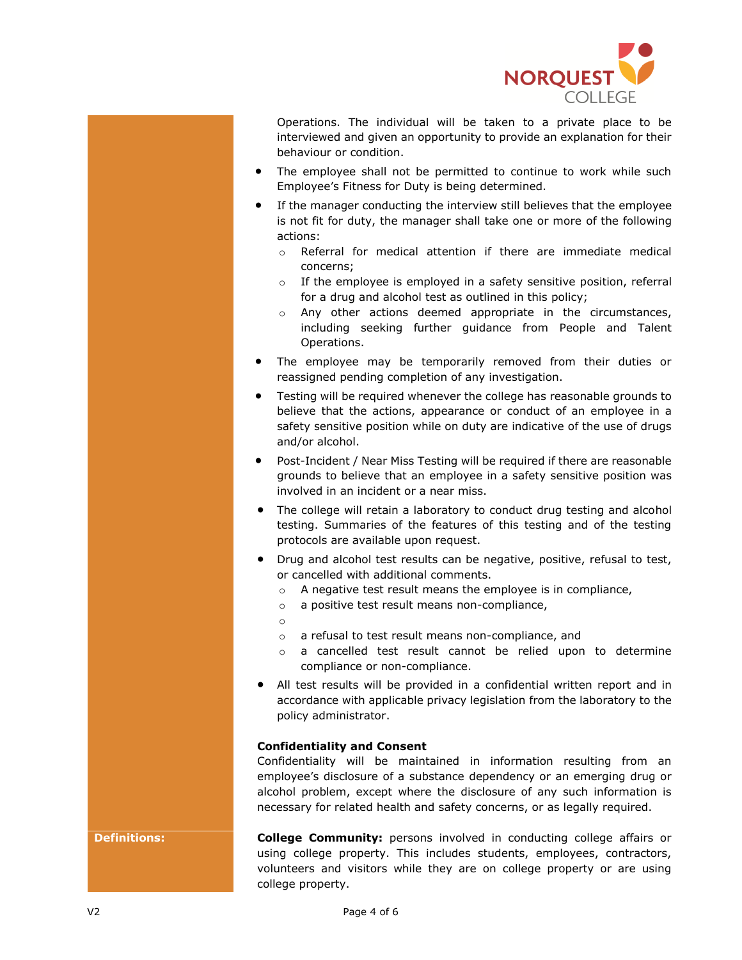

Operations. The individual will be taken to a private place to be interviewed and given an opportunity to provide an explanation for their behaviour or condition.

- The employee shall not be permitted to continue to work while such Employee's Fitness for Duty is being determined.
- If the manager conducting the interview still believes that the employee is not fit for duty, the manager shall take one or more of the following actions:
	- o Referral for medical attention if there are immediate medical concerns;
	- $\circ$  If the employee is employed in a safety sensitive position, referral for a drug and alcohol test as outlined in this policy;
	- o Any other actions deemed appropriate in the circumstances, including seeking further guidance from People and Talent Operations.
- The employee may be temporarily removed from their duties or reassigned pending completion of any investigation.
- Testing will be required whenever the college has reasonable grounds to believe that the actions, appearance or conduct of an employee in a safety sensitive position while on duty are indicative of the use of drugs and/or alcohol.
- Post-Incident / Near Miss Testing will be required if there are reasonable grounds to believe that an employee in a safety sensitive position was involved in an incident or a near miss.
- The college will retain a laboratory to conduct drug testing and alcohol testing. Summaries of the features of this testing and of the testing protocols are available upon request.
- Drug and alcohol test results can be negative, positive, refusal to test, or cancelled with additional comments.
	- o A negative test result means the employee is in compliance,
	- o a positive test result means non-compliance,
	- o
	- o a refusal to test result means non-compliance, and
	- o a cancelled test result cannot be relied upon to determine compliance or non-compliance.
- All test results will be provided in a confidential written report and in accordance with applicable privacy legislation from the laboratory to the policy administrator.

### **Confidentiality and Consent**

Confidentiality will be maintained in information resulting from an employee's disclosure of a substance dependency or an emerging drug or alcohol problem, except where the disclosure of any such information is necessary for related health and safety concerns, or as legally required.

**Definitions: College Community:** persons involved in conducting college affairs or using college property. This includes students, employees, contractors, volunteers and visitors while they are on college property or are using college property.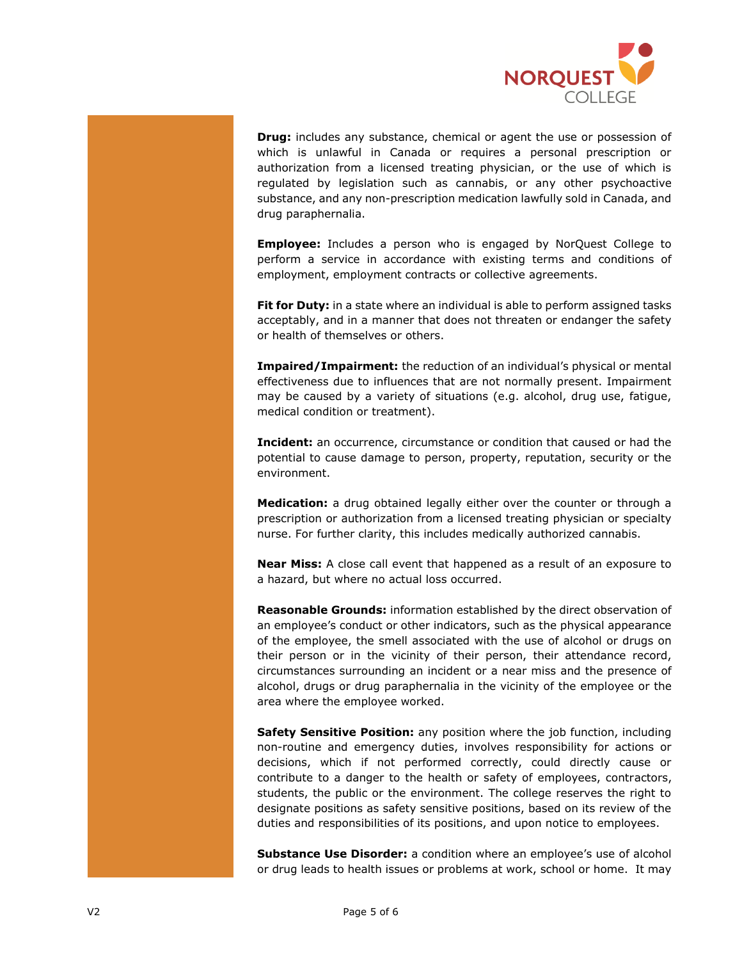

**Drug:** includes any substance, chemical or agent the use or possession of which is unlawful in Canada or requires a personal prescription or authorization from a licensed treating physician, or the use of which is regulated by legislation such as cannabis, or any other psychoactive substance, and any non-prescription medication lawfully sold in Canada, and drug paraphernalia.

**Employee:** Includes a person who is engaged by NorQuest College to perform a service in accordance with existing terms and conditions of employment, employment contracts or collective agreements.

Fit for Duty: in a state where an individual is able to perform assigned tasks acceptably, and in a manner that does not threaten or endanger the safety or health of themselves or others.

**Impaired/Impairment:** the reduction of an individual's physical or mental effectiveness due to influences that are not normally present. Impairment may be caused by a variety of situations (e.g. alcohol, drug use, fatigue, medical condition or treatment).

**Incident:** an occurrence, circumstance or condition that caused or had the potential to cause damage to person, property, reputation, security or the environment.

**Medication:** a drug obtained legally either over the counter or through a prescription or authorization from a licensed treating physician or specialty nurse. For further clarity, this includes medically authorized cannabis.

**Near Miss:** A close call event that happened as a result of an exposure to a hazard, but where no actual loss occurred.

**Reasonable Grounds:** information established by the direct observation of an employee's conduct or other indicators, such as the physical appearance of the employee, the smell associated with the use of alcohol or drugs on their person or in the vicinity of their person, their attendance record, circumstances surrounding an incident or a near miss and the presence of alcohol, drugs or drug paraphernalia in the vicinity of the employee or the area where the employee worked.

**Safety Sensitive Position:** any position where the job function, including non-routine and emergency duties, involves responsibility for actions or decisions, which if not performed correctly, could directly cause or contribute to a danger to the health or safety of employees, contractors, students, the public or the environment. The college reserves the right to designate positions as safety sensitive positions, based on its review of the duties and responsibilities of its positions, and upon notice to employees.

**Substance Use Disorder:** a condition where an employee's use of alcohol or drug leads to health issues or problems at work, school or home. It may